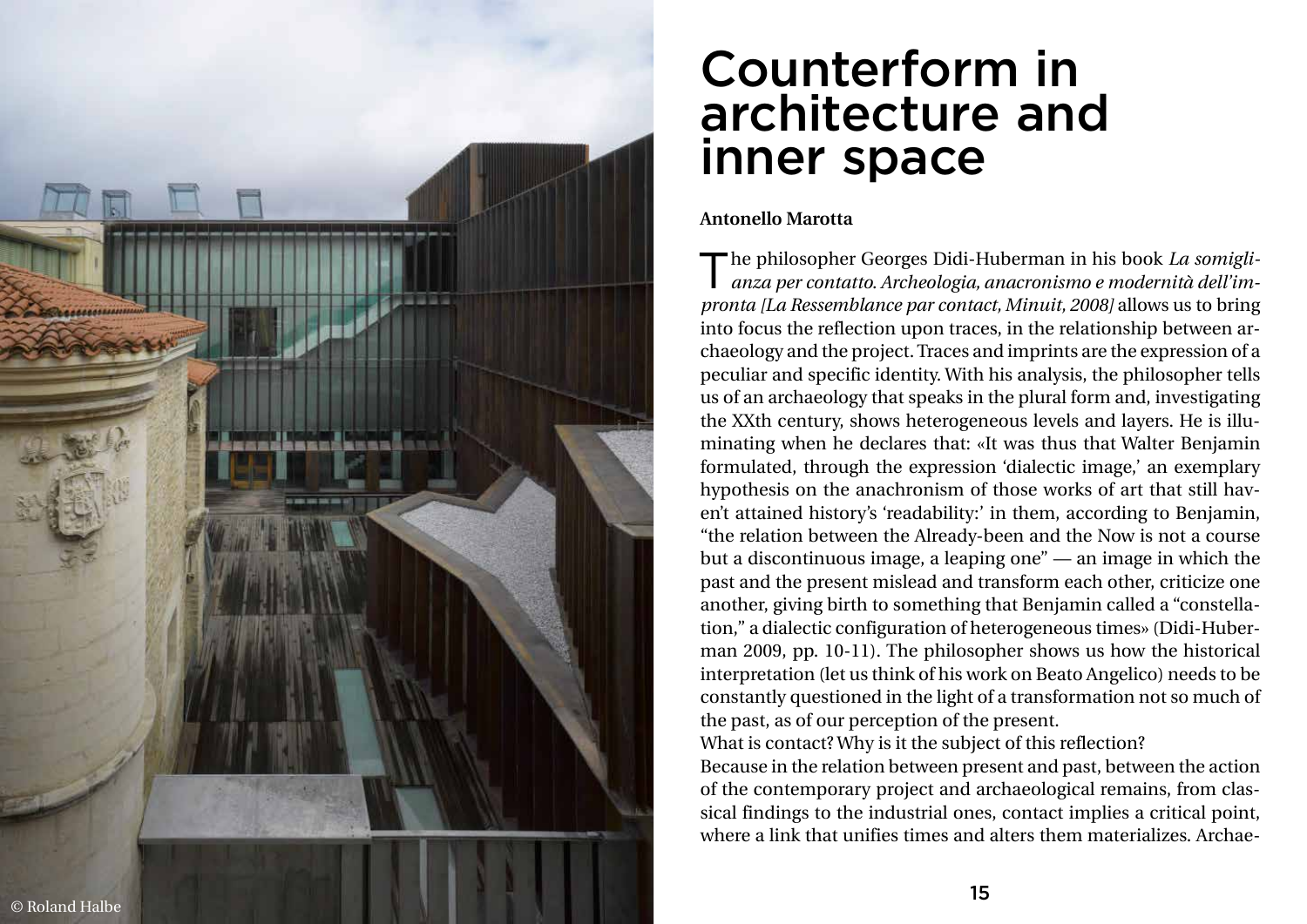## Counterform in architecture and inner space

## **Antonello Marotta**



The philosopher Georges Didi-Huberman in his book *La somigli anza per contatto. Archeologia, anacronismo e modernità dell'im -* The philosopher Georges Didi-Huberman in his book *La somiglipronta [La Ressemblance par contact, Minuit, 2008]* allows us to bring into focus the reflection upon traces, in the relationship between ar chaeology and the project. Traces and imprints are the expression of a peculiar and specific identity. With his analysis, the philosopher tells us of an archaeology that speaks in the plural form and, investigating the XXth century, shows heterogeneous levels and layers. He is illu minating when he declares that: «It was thus that Walter Benjamin formulated, through the expression 'dialectic image,' an exemplary hypothesis on the anachronism of those works of art that still hav en't attained history's 'readability:' in them, according to Benjamin, "the relation between the Already-been and the Now is not a course but a discontinuous image, a leaping one" — an image in which the past and the present mislead and transform each other, criticize one another, giving birth to something that Benjamin called a "constella tion," a dialectic configuration of heterogeneous times» (Didi-Huber man 2009, pp. 10-11). The philosopher shows us how the historical interpretation (let us think of his work on Beato Angelico) needs to be constantly questioned in the light of a transformation not so much of the past, as of our perception of the present. What is contact? Why is it the subject of this reflection? Because in the relation between present and past, between the action of the contemporary project and archaeological remains, from clas sical findings to the industrial ones, contact implies a critical point, where a link that unifies times and alters them materializes. Archae -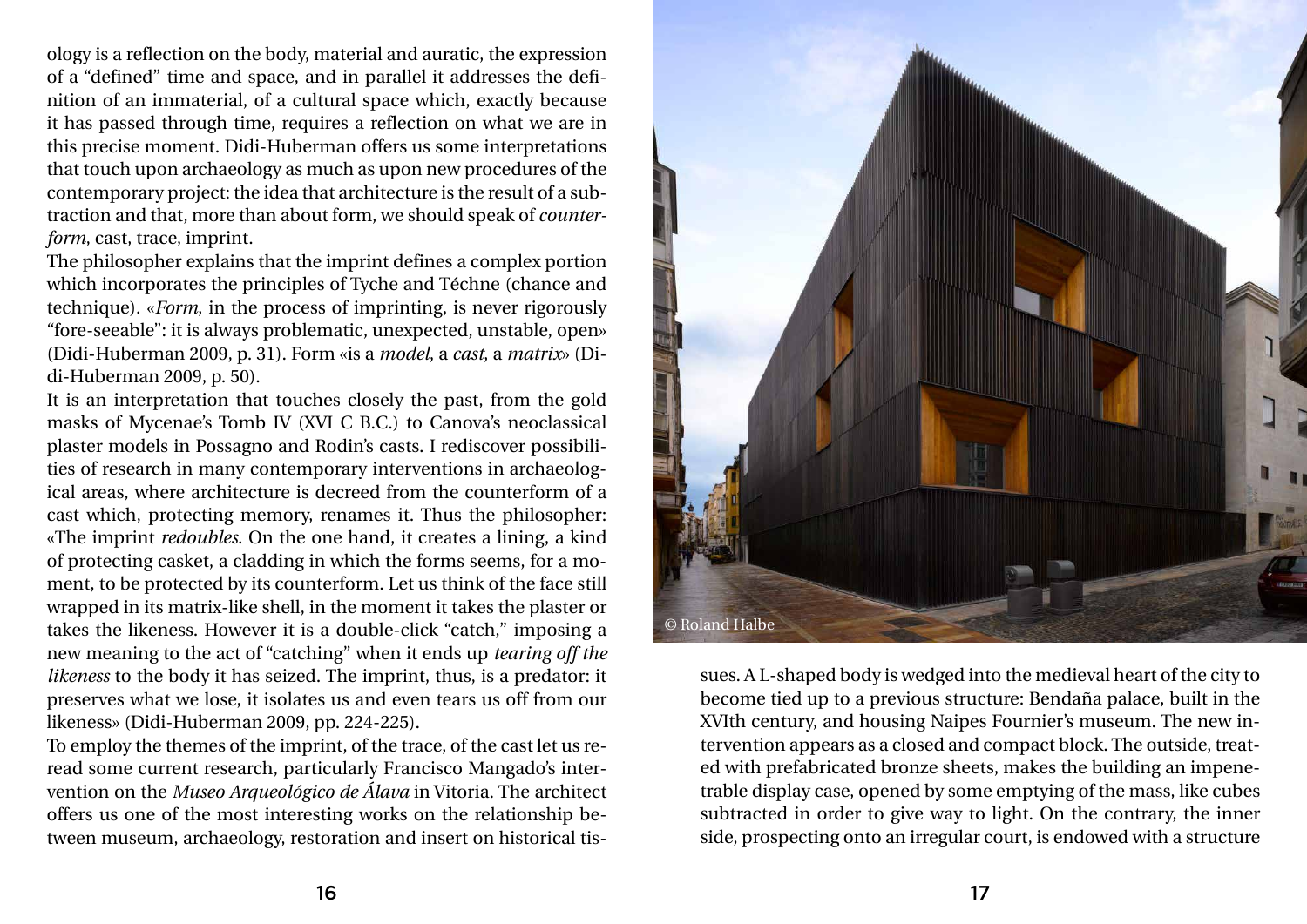ology is a reflection on the body, material and auratic, the expression of a "defined" time and space, and in parallel it addresses the definition of an immaterial, of a cultural space which, exactly because it has passed through time, requires a reflection on what we are in this precise moment. Didi-Huberman offers us some interpretations that touch upon archaeology as much as upon new procedures of the contemporary project: the idea that architecture is the result of a subtraction and that, more than about form, we should speak of *counterform*, cast, trace, imprint.

The philosopher explains that the imprint defines a complex portion which incorporates the principles of Tyche and Téchne (chance and technique). «*Form*, in the process of imprinting, is never rigorously "fore-seeable": it is always problematic, unexpected, unstable, open» (Didi-Huberman 2009, p. 31). Form «is a *model*, a *cast*, a *matrix*» (Didi-Huberman 2009, p. 50).

It is an interpretation that touches closely the past, from the gold masks of Mycenae's Tomb IV (XVI C B.C.) to Canova's neoclassical plaster models in Possagno and Rodin's casts. I rediscover possibilities of research in many contemporary interventions in archaeological areas, where architecture is decreed from the counterform of a cast which, protecting memory, renames it. Thus the philosopher: «The imprint *redoubles*. On the one hand, it creates a lining, a kind of protecting casket, a cladding in which the forms seems, for a moment, to be protected by its counterform. Let us think of the face still wrapped in its matrix-like shell, in the moment it takes the plaster or takes the likeness. However it is a double-click "catch," imposing a new meaning to the act of "catching" when it ends up *tearing off the likeness* to the body it has seized. The imprint, thus, is a predator: it preserves what we lose, it isolates us and even tears us off from our likeness» (Didi-Huberman 2009, pp. 224-225).

To employ the themes of the imprint, of the trace, of the cast let us reread some current research, particularly Francisco Mangado's intervention on the *Museo Arqueológico de Álava* in Vitoria. The architect offers us one of the most interesting works on the relationship between museum, archaeology, restoration and insert on historical tissues. A L-shaped body is wedged into the medieval heart of the city to become tied up to a previous structure: Bendaña palace, built in the XVIth century, and housing Naipes Fournier's museum. The new intervention appears as a closed and compact block. The outside, treated with prefabricated bronze sheets, makes the building an impenetrable display case, opened by some emptying of the mass, like cubes subtracted in order to give way to light. On the contrary, the inner side, prospecting onto an irregular court, is endowed with a structure

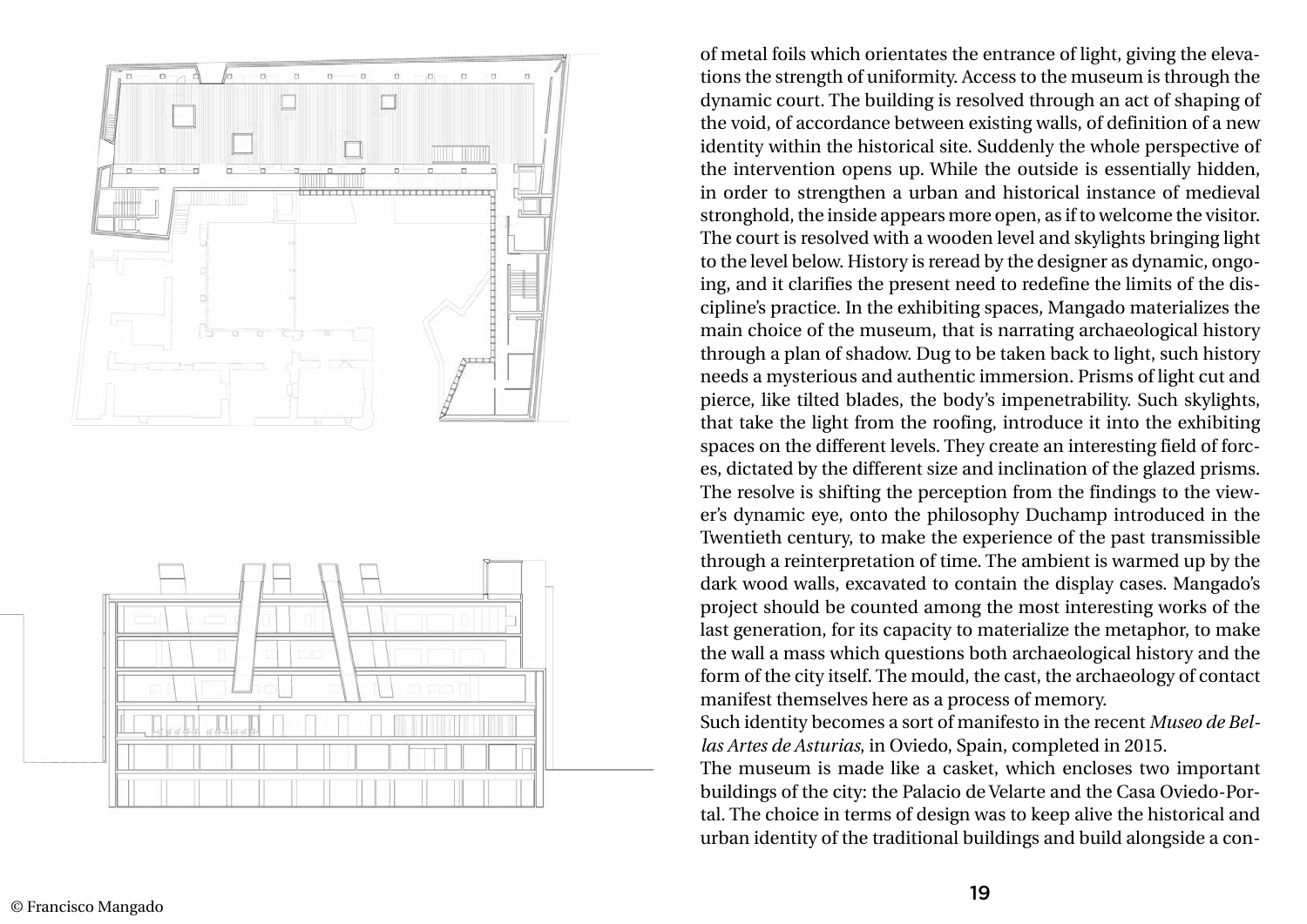

of metal foils which orientates the entrance of light, giving the eleva tions the strength of uniformity. Access to the museum is through the dynamic court. The building is resolved through an act of shaping of the void, of accordance between existing walls, of definition of a new identity within the historical site. Suddenly the whole perspective of the intervention opens up. While the outside is essentially hidden, in order to strengthen a urban and historical instance of medieval stronghold, the inside appears more open, as if to welcome the visitor. The court is resolved with a wooden level and skylights bringing light to the level below. History is reread by the designer as dynamic, ongo ing, and it clarifies the present need to redefine the limits of the dis cipline's practice. In the exhibiting spaces, Mangado materializes the main choice of the museum, that is narrating archaeological history through a plan of shadow. Dug to be taken back to light, such history needs a mysterious and authentic immersion. Prisms of light cut and pierce, like tilted blades, the body's impenetrability. Such skylights, that take the light from the roofing, introduce it into the exhibiting spaces on the different levels. They create an interesting field of forc es, dictated by the different size and inclination of the glazed prisms. The resolve is shifting the perception from the findings to the view er's dynamic eye, onto the philosophy Duchamp introduced in the Twentieth century, to make the experience of the past transmissible through a reinterpretation of time. The ambient is warmed up by the dark wood walls, excavated to contain the display cases. Mangado's project should be counted among the most interesting works of the last generation, for its capacity to materialize the metaphor, to make the wall a mass which questions both archaeological history and the form of the city itself. The mould, the cast, the archaeology of contact manifest themselves here as a process of memory. Such identity becomes a sort of manifesto in the recent *Museo de Bel las Artes de Asturias*, in Oviedo, Spain, completed in 2015. The museum is made like a casket, which encloses two important buildings of the city: the Palacio de Velarte and the Casa Oviedo-Por tal. The choice in terms of design was to keep alive the historical and urban identity of the traditional buildings and build alongside a con -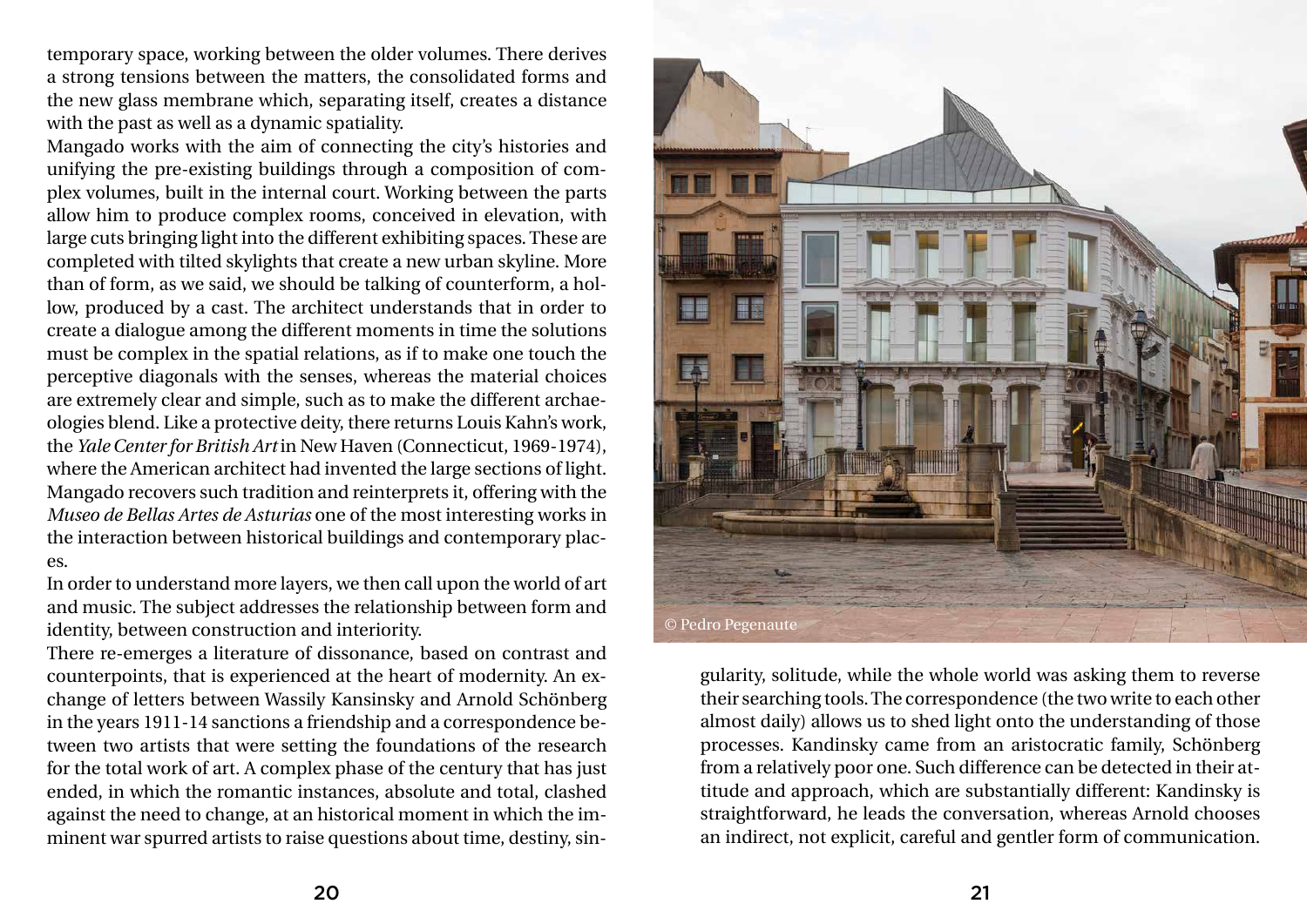temporary space, working between the older volumes. There derives a strong tensions between the matters, the consolidated forms and the new glass membrane which, separating itself, creates a distance with the past as well as a dynamic spatiality.

Mangado works with the aim of connecting the city's histories and unifying the pre-existing buildings through a composition of complex volumes, built in the internal court. Working between the parts allow him to produce complex rooms, conceived in elevation, with large cuts bringing light into the different exhibiting spaces. These are completed with tilted skylights that create a new urban skyline. More than of form, as we said, we should be talking of counterform, a hollow, produced by a cast. The architect understands that in order to create a dialogue among the different moments in time the solutions must be complex in the spatial relations, as if to make one touch the perceptive diagonals with the senses, whereas the material choices are extremely clear and simple, such as to make the different archaeologies blend. Like a protective deity, there returns Louis Kahn's work, the *Yale Center for British Art* in New Haven (Connecticut, 1969-1974), where the American architect had invented the large sections of light. Mangado recovers such tradition and reinterprets it, offering with the *Museo de Bellas Artes de Asturias* one of the most interesting works in the interaction between historical buildings and contemporary places.

In order to understand more layers, we then call upon the world of art and music. The subject addresses the relationship between form and identity, between construction and interiority.

There re-emerges a literature of dissonance, based on contrast and counterpoints, that is experienced at the heart of modernity. An exchange of letters between Wassily Kansinsky and Arnold Schönberg in the years 1911-14 sanctions a friendship and a correspondence between two artists that were setting the foundations of the research for the total work of art. A complex phase of the century that has just ended, in which the romantic instances, absolute and total, clashed against the need to change, at an historical moment in which the imminent war spurred artists to raise questions about time, destiny, sin-

gularity, solitude, while the whole world was asking them to reverse their searching tools. The correspondence (the two write to each other almost daily) allows us to shed light onto the understanding of those processes. Kandinsky came from an aristocratic family, Schönberg from a relatively poor one. Such difference can be detected in their attitude and approach, which are substantially different: Kandinsky is straightforward, he leads the conversation, whereas Arnold chooses an indirect, not explicit, careful and gentler form of communication.

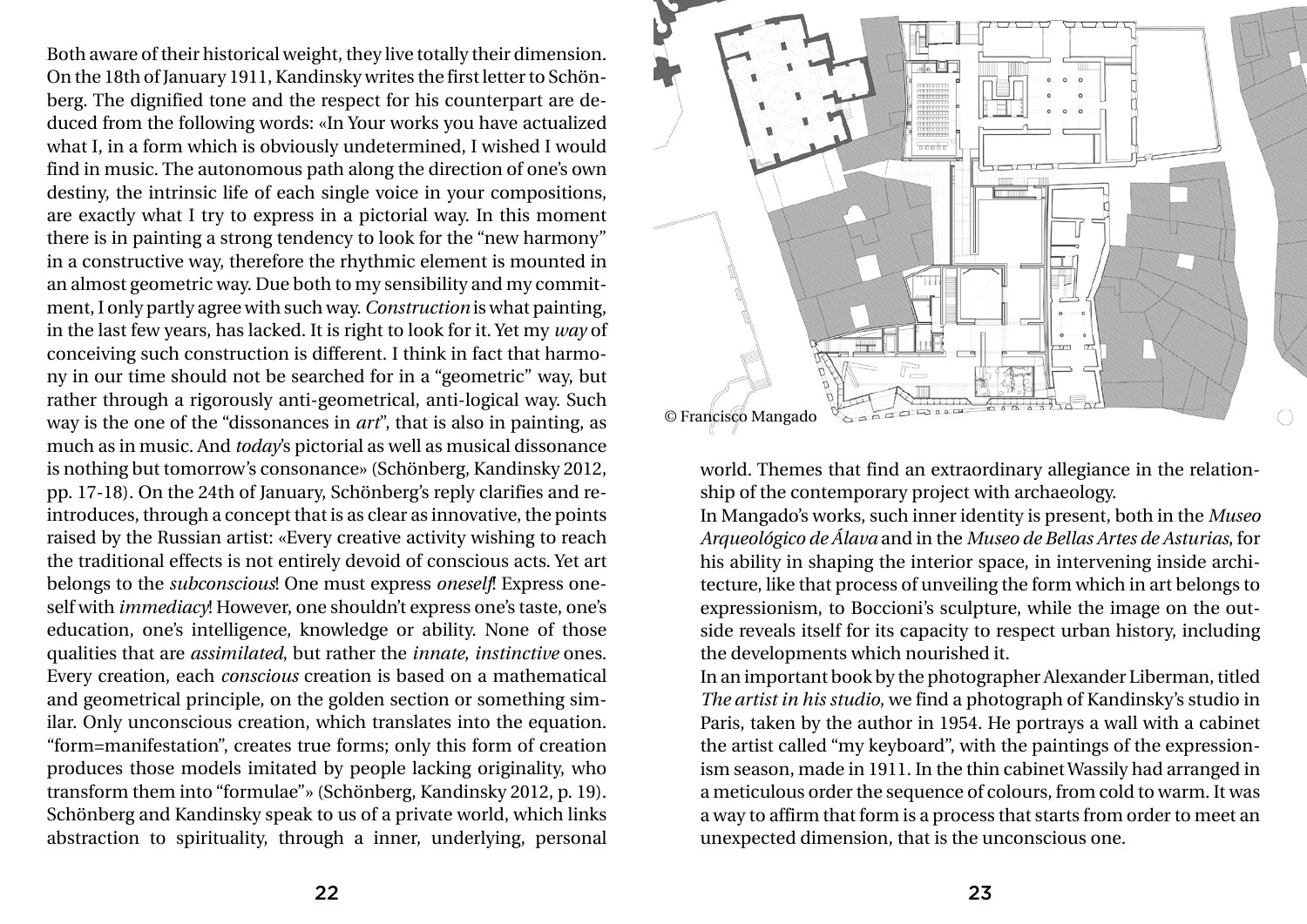Both aware of their historical weight, they live totally their dimension. On the 18th of January 1911, Kandinsky writes the first letter to Schönberg. The dignified tone and the respect for his counterpart are deduced from the following words: «In Your works you have actualized what I, in a form which is obviously undetermined, I wished I would find in music. The autonomous path along the direction of one's own destiny, the intrinsic life of each single voice in your compositions, are exactly what I try to express in a pictorial way. In this moment there is in painting a strong tendency to look for the "new harmony" in a constructive way, therefore the rhythmic element is mounted in an almost geometric way. Due both to my sensibility and my commitment, I only partly agree with such way. *Construction* is what painting, in the last few years, has lacked. It is right to look for it. Yet my *way* of conceiving such construction is different. I think in fact that harmony in our time should not be searched for in a "geometric" way, but rather through a rigorously anti-geometrical, anti-logical way. Such way is the one of the "dissonances in *art*", that is also in painting, as much as in music. And *today*'s pictorial as well as musical dissonance is nothing but tomorrow's consonance» (Schönberg, Kandinsky 2012, pp. 17-18). On the 24th of January, Schönberg's reply clarifies and reintroduces, through a concept that is as clear as innovative, the points raised by the Russian artist: «Every creative activity wishing to reach the traditional effects is not entirely devoid of conscious acts. Yet art belongs to the *subconscious*! One must express *oneself*! Express oneself with *immediacy*! However, one shouldn't express one's taste, one's education, one's intelligence, knowledge or ability. None of those qualities that are *assimilated*, but rather the *innate*, *instinctive* ones. Every creation, each *conscious* creation is based on a mathematical and geometrical principle, on the golden section or something similar. Only unconscious creation, which translates into the equation. "form=manifestation", creates true forms; only this form of creation produces those models imitated by people lacking originality, who transform them into "formulae"» (Schönberg, Kandinsky 2012, p. 19). Schönberg and Kandinsky speak to us of a private world, which links abstraction to spirituality, through a inner, underlying, personal

world. Themes that find an extraordinary allegiance in the relationship of the contemporary project with archaeology. In Mangado's works, such inner identity is present, both in the *Museo Arqueológico de Álava* and in the *Museo de Bellas Artes de Asturias*, for his ability in shaping the interior space, in intervening inside architecture, like that process of unveiling the form which in art belongs to expressionism, to Boccioni's sculpture, while the image on the outside reveals itself for its capacity to respect urban history, including the developments which nourished it. In an important book by the photographer Alexander Liberman, titled *The artist in his studio*, we find a photograph of Kandinsky's studio in Paris, taken by the author in 1954. He portrays a wall with a cabinet the artist called "my keyboard", with the paintings of the expressionism season, made in 1911. In the thin cabinet Wassily had arranged in a meticulous order the sequence of colours, from cold to warm. It was a way to affirm that form is a process that starts from order to meet an unexpected dimension, that is the unconscious one.